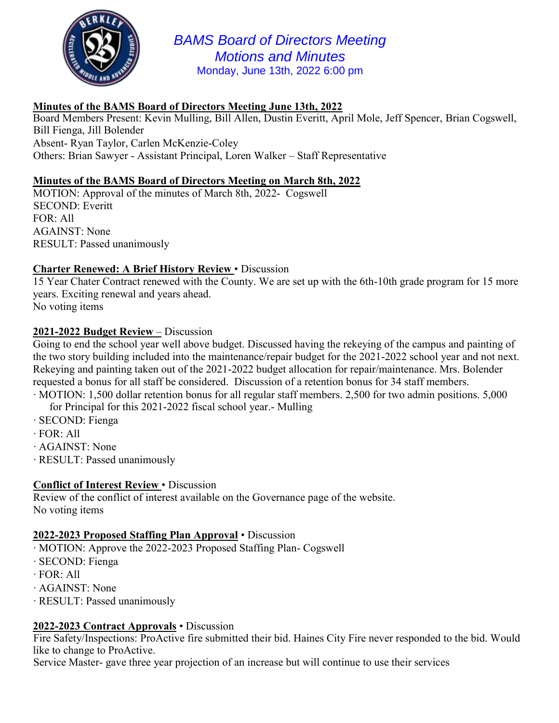

*BAMS Board of Directors Meeting Motions and Minutes*  Monday, June 13th, 2022 6:00 pm

# **Minutes of the BAMS Board of Directors Meeting June 13th, 2022**

Board Members Present: Kevin Mulling, Bill Allen, Dustin Everitt, April Mole, Jeff Spencer, Brian Cogswell, Bill Fienga, Jill Bolender Absent- Ryan Taylor, Carlen McKenzie-Coley Others: Brian Sawyer - Assistant Principal, Loren Walker – Staff Representative

# **Minutes of the BAMS Board of Directors Meeting on March 8th, 2022**

MOTION: Approval of the minutes of March 8th, 2022- Cogswell SECOND: Everitt FOR: All AGAINST: None RESULT: Passed unanimously

## **Charter Renewed: A Brief History Review** • Discussion

15 Year Chater Contract renewed with the County. We are set up with the 6th-10th grade program for 15 more years. Exciting renewal and years ahead.

No voting items

## **2021-2022 Budget Review** – Discussion

Going to end the school year well above budget. Discussed having the rekeying of the campus and painting of the two story building included into the maintenance/repair budget for the 2021-2022 school year and not next. Rekeying and painting taken out of the 2021-2022 budget allocation for repair/maintenance. Mrs. Bolender requested a bonus for all staff be considered. Discussion of a retention bonus for 34 staff members.

- ∙ MOTION: 1,500 dollar retention bonus for all regular staff members. 2,500 for two admin positions. 5,000 for Principal for this 2021-2022 fiscal school year.- Mulling
- ∙ SECOND: Fienga
- ∙ FOR: All
- ∙ AGAINST: None
- ∙ RESULT: Passed unanimously

#### **Conflict of Interest Review** • Discussion

Review of the conflict of interest available on the Governance page of the website. No voting items

#### **2022-2023 Proposed Staffing Plan Approval** • Discussion

- ∙ MOTION: Approve the 2022-2023 Proposed Staffing Plan- Cogswell
- ∙ SECOND: Fienga
- ∙ FOR: All
- ∙ AGAINST: None
- ∙ RESULT: Passed unanimously

## **2022-2023 Contract Approvals** • Discussion

Fire Safety/Inspections: ProActive fire submitted their bid. Haines City Fire never responded to the bid. Would like to change to ProActive.

Service Master- gave three year projection of an increase but will continue to use their services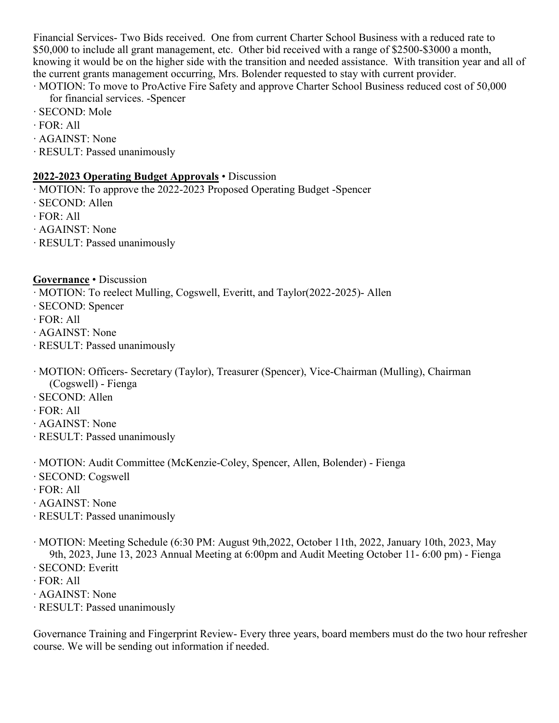Financial Services- Two Bids received. One from current Charter School Business with a reduced rate to \$50,000 to include all grant management, etc. Other bid received with a range of \$2500-\$3000 a month, knowing it would be on the higher side with the transition and needed assistance. With transition year and all of the current grants management occurring, Mrs. Bolender requested to stay with current provider.

∙ MOTION: To move to ProActive Fire Safety and approve Charter School Business reduced cost of 50,000 for financial services. -Spencer

- ∙ SECOND: Mole
- ∙ FOR: All
- ∙ AGAINST: None
- ∙ RESULT: Passed unanimously

## **2022-2023 Operating Budget Approvals** • Discussion

- ∙ MOTION: To approve the 2022-2023 Proposed Operating Budget -Spencer
- ∙ SECOND: Allen
- ∙ FOR: All
- ∙ AGAINST: None
- ∙ RESULT: Passed unanimously

**Governance** • Discussion

∙ MOTION: To reelect Mulling, Cogswell, Everitt, and Taylor(2022-2025)- Allen

- ∙ SECOND: Spencer
- ∙ FOR: All
- ∙ AGAINST: None
- ∙ RESULT: Passed unanimously
- ∙ MOTION: Officers- Secretary (Taylor), Treasurer (Spencer), Vice-Chairman (Mulling), Chairman (Cogswell) - Fienga
- ∙ SECOND: Allen
- ∙ FOR: All
- ∙ AGAINST: None
- ∙ RESULT: Passed unanimously
- ∙ MOTION: Audit Committee (McKenzie-Coley, Spencer, Allen, Bolender) Fienga
- ∙ SECOND: Cogswell
- ∙ FOR: All
- ∙ AGAINST: None
- ∙ RESULT: Passed unanimously
- ∙ MOTION: Meeting Schedule (6:30 PM: August 9th,2022, October 11th, 2022, January 10th, 2023, May 9th, 2023, June 13, 2023 Annual Meeting at 6:00pm and Audit Meeting October 11- 6:00 pm) - Fienga
- ∙ SECOND: Everitt
- ∙ FOR: All
- ∙ AGAINST: None
- ∙ RESULT: Passed unanimously

Governance Training and Fingerprint Review- Every three years, board members must do the two hour refresher course. We will be sending out information if needed.